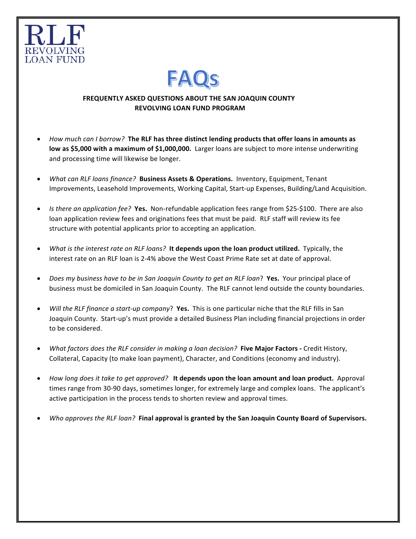



## **FREQUENTLY ASKED QUESTIONS ABOUT THE SAN JOAQUIN COUNTY REVOLVING LOAN FUND PROGRAM**

- *How much can I borrow?* The RLF has three distinct lending products that offer loans in amounts as **low** as \$5,000 with a maximum of \$1,000,000. Larger loans are subject to more intense underwriting and processing time will likewise be longer.
- *What can RLF loans finance?* Business Assets & Operations. Inventory, Equipment, Tenant Improvements, Leasehold Improvements, Working Capital, Start-up Expenses, Building/Land Acquisition.
- *Is there an application fee?* Yes. Non-refundable application fees range from \$25-\$100. There are also loan application review fees and originations fees that must be paid. RLF staff will review its fee structure with potential applicants prior to accepting an application.
- *What is the interest rate on RLF loans?* It depends upon the loan product utilized. Typically, the interest rate on an RLF loan is 2-4% above the West Coast Prime Rate set at date of approval.
- *Does my business have to be in San Joaquin County to get an RLF loan?* Yes. Your principal place of business must be domiciled in San Joaquin County. The RLF cannot lend outside the county boundaries.
- *Will the RLF finance a start-up company*? **Yes.** This is one particular niche that the RLF fills in San Joaquin County. Start-up's must provide a detailed Business Plan including financial projections in order to be considered.
- *What factors does the RLF consider in making a loan decision?* Five Major Factors Credit History, Collateral, Capacity (to make loan payment), Character, and Conditions (economy and industry).
- *How long does it take to get approved?* It depends upon the loan amount and loan product. Approval times range from 30-90 days, sometimes longer, for extremely large and complex loans. The applicant's active participation in the process tends to shorten review and approval times.
- *Who approves the RLF loan?* Final approval is granted by the San Joaquin County Board of Supervisors.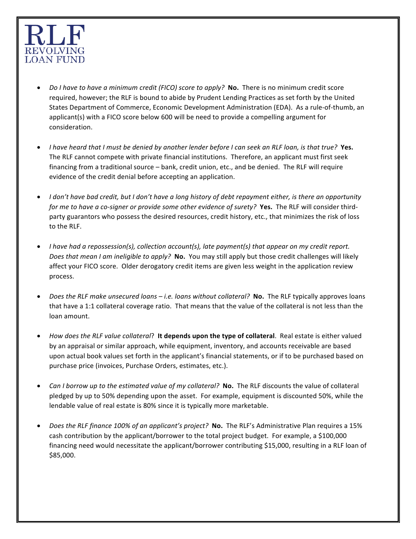

- *Do I have to have a minimum credit (FICO) score to apply?* **No.** There is no minimum credit score required, however; the RLF is bound to abide by Prudent Lending Practices as set forth by the United States Department of Commerce, Economic Development Administration (EDA). As a rule-of-thumb, an applicant(s) with a FICO score below 600 will be need to provide a compelling argument for consideration.
- *I* have heard that *I* must be denied by another lender before I can seek an RLF loan, is that true? Yes. The RLF cannot compete with private financial institutions. Therefore, an applicant must first seek financing from a traditional source – bank, credit union, etc., and be denied. The RLF will require evidence of the credit denial before accepting an application.
- *I* don't have bad credit, but *I* don't have a long history of debt repayment either, is there an opportunity *for* me to have a co-signer or provide some other evidence of surety? **Yes.** The RLF will consider thirdparty guarantors who possess the desired resources, credit history, etc., that minimizes the risk of loss to the RLF.
- *I* have had a repossession(s), collection account(s), late payment(s) that appear on my credit report. *Does that mean I am ineligible to apply?* **No.** You may still apply but those credit challenges will likely affect your FICO score. Older derogatory credit items are given less weight in the application review process.
- *Does the RLF make unsecured loans i.e. loans without collateral?* No. The RLF typically approves loans that have a 1:1 collateral coverage ratio. That means that the value of the collateral is not less than the loan amount.
- *How does the RLF value collateral*? It depends upon the type of collateral. Real estate is either valued by an appraisal or similar approach, while equipment, inventory, and accounts receivable are based upon actual book values set forth in the applicant's financial statements, or if to be purchased based on purchase price (invoices, Purchase Orders, estimates, etc.).
- *Can I borrow up to the estimated value of my collateral?* **No.** The RLF discounts the value of collateral pledged by up to 50% depending upon the asset. For example, equipment is discounted 50%, while the lendable value of real estate is 80% since it is typically more marketable.
- *Does the RLF finance 100% of an applicant's project?* No. The RLF's Administrative Plan requires a 15% cash contribution by the applicant/borrower to the total project budget. For example, a \$100,000 financing need would necessitate the applicant/borrower contributing \$15,000, resulting in a RLF loan of \$85,000.